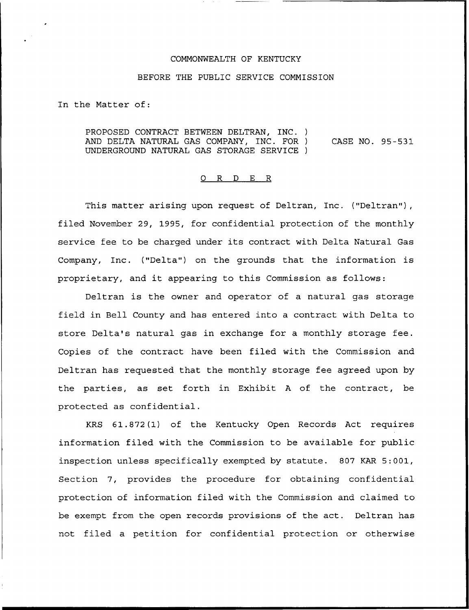## COMMONNEALTH OF KENTUCKY

## BEFORE THE PUBLIC SERVICE COMMISSION

In the Matter of:

PROPOSED CONTRACT BETWEEN DELTRAN, INC. ) AND DELTA NATURAL GAS COMPANY, INC. FOR ) UNDERGROUND NATURAL GAS STORAGE SERVICE ) CASE NO. 95-531

## 0 R <sup>D</sup> E R

This matter arising upon request of Deltran, Inc. ("Deltran"), filed November 29, 1995, for confidential protection of the monthly service fee to be charged under its contract with Delta Natural Gas Company, Inc. ("Delta") on the grounds that the information is proprietary, and it appearing to this Commission as follows:

Deltran is the owner and operator of a natural gas storage field in Bell County and has entered into a contract with Delta to store Delta's natural gas in exchange for a monthly storage fee. Copies of the contract have been filed with the Commission and Deltran has requested that the monthly storage fee agreed upon by the parties, as set forth in Exhibit <sup>A</sup> of the contract, be protected as confidential.

KRS 61.872(1) of the Kentucky Open Records Act requires information filed with the Commission to be available for public inspection unless specifically exempted by statute. 807 KAR 5:001, Section 7, provides the procedure for obtaining confidential protection of information filed with the Commission and claimed to be exempt from the open records provisions of the act. Deltran has not filed a petition for confidential protection or otherwise